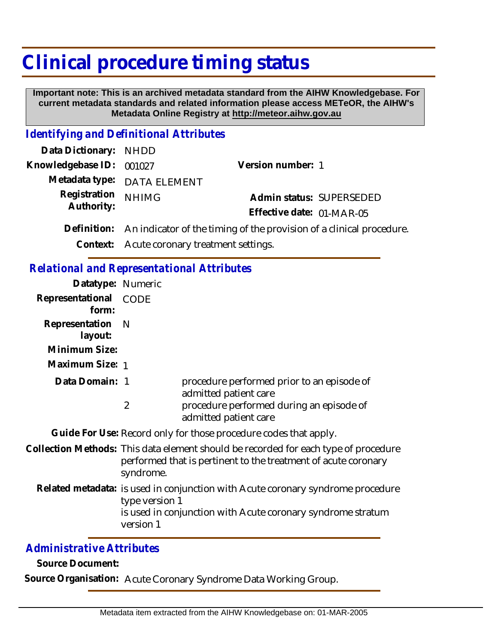## **Clinical procedure timing status**

 **Important note: This is an archived metadata standard from the AIHW Knowledgebase. For current metadata standards and related information please access METeOR, the AIHW's Metadata Online Registry at http://meteor.aihw.gov.au**

## *Identifying and Definitional Attributes*

| Data Dictionary: NHDD            |                                                                                  |                           |  |
|----------------------------------|----------------------------------------------------------------------------------|---------------------------|--|
| Knowledgebase ID: 001027         |                                                                                  | Version number: 1         |  |
|                                  | Metadata type: DATA ELEMENT                                                      |                           |  |
| Registration NHIMG<br>Authority: |                                                                                  | Admin status: SUPERSEDED  |  |
|                                  |                                                                                  | Effective date: 01-MAR-05 |  |
|                                  | Definition: An indicator of the timing of the provision of a clinical procedure. |                           |  |

**Context:** Acute coronary treatment settings.

| <b>Relational and Representational Attributes</b>                |                                                                                                                                                                               |                                                                     |  |
|------------------------------------------------------------------|-------------------------------------------------------------------------------------------------------------------------------------------------------------------------------|---------------------------------------------------------------------|--|
| Datatype: Numeric                                                |                                                                                                                                                                               |                                                                     |  |
| Representational CODE<br>form:                                   |                                                                                                                                                                               |                                                                     |  |
| Representation<br>layout:                                        | $\blacksquare$                                                                                                                                                                |                                                                     |  |
| Minimum Size:                                                    |                                                                                                                                                                               |                                                                     |  |
| Maximum Size: 1                                                  |                                                                                                                                                                               |                                                                     |  |
| Data Domain: 1                                                   |                                                                                                                                                                               | procedure performed prior to an episode of<br>admitted patient care |  |
|                                                                  | 2                                                                                                                                                                             | procedure performed during an episode of<br>admitted patient care   |  |
| Guide For Use: Record only for those procedure codes that apply. |                                                                                                                                                                               |                                                                     |  |
|                                                                  | Collection Methods: This data element should be recorded for each type of procedure<br>performed that is pertinent to the treatment of acute coronary<br>syndrome.            |                                                                     |  |
|                                                                  | Related metadata: is used in conjunction with Acute coronary syndrome procedure<br>type version 1<br>is used in conjunction with Acute coronary syndrome stratum<br>version 1 |                                                                     |  |

## *Administrative Attributes*

**Source Document:**

**Source Organisation:** Acute Coronary Syndrome Data Working Group.